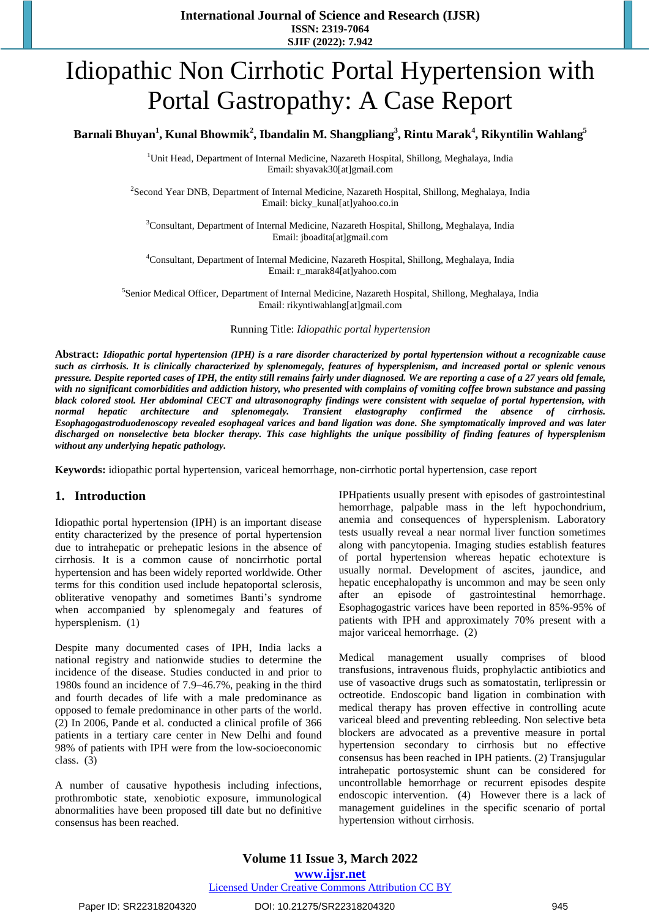**International Journal of Science and Research (IJSR) ISSN: 2319-7064 SJIF (2022): 7.942**

# Idiopathic Non Cirrhotic Portal Hypertension with Portal Gastropathy: A Case Report

# **<sup>1</sup> <sup>2</sup> <sup>3</sup> <sup>4</sup> <sup>5</sup> Barnali Bhuyan , Kunal Bhowmik , Ibandalin M. Shangpliang , Rintu Marak , Rikyntilin Wahlang**

<sup>1</sup>Unit Head, Department of Internal Medicine, Nazareth Hospital, Shillong, Meghalaya, India Email: shyavak30[at]gmail.com

<sup>2</sup>Second Year DNB, Department of Internal Medicine, Nazareth Hospital, Shillong, Meghalaya, India Email: bicky\_kunal[at]yahoo.co.in

<sup>3</sup>Consultant, Department of Internal Medicine, Nazareth Hospital, Shillong, Meghalaya, India Email: jboadita[at]gmail.com

<sup>4</sup>Consultant, Department of Internal Medicine, Nazareth Hospital, Shillong, Meghalaya, India Email: r\_marak84[at]yahoo.com

5 Senior Medical Officer, Department of Internal Medicine, Nazareth Hospital, Shillong, Meghalaya, India Email: rikyntiwahlang[at]gmail.com

Running Title: *Idiopathic portal hypertension*

Abstract: Idiopathic portal hypertension (IPH) is a rare disorder characterized by portal hypertension without a recognizable cause such as cirrhosis. It is clinically characterized by splenomegaly, features of hypersplenism, and increased portal or splenic venous pressure. Despite reported cases of IPH, the entity still remains fairly under diagnosed. We are reporting a case of a 27 years old female, with no significant comorbidities and addiction history, who presented with complains of vomiting coffee brown substance and passing black colored stool. Her abdominal CECT and ultrasonography findings were consistent with sequelae of portal hypertension, with *normal hepatic architecture and splenomegaly. Transient elastography confirmed the absence of cirrhosis.* Esophagogastroduodenoscopy revealed esophageal varices and band ligation was done. She symptomatically improved and was later discharged on nonselective beta blocker therapy. This case highlights the unique possibility of finding features of hypersplenism *without any underlying hepatic pathology.*

**Keywords:** idiopathic portal hypertension, variceal hemorrhage, non-cirrhotic portal hypertension, case report

#### **1. Introduction**

Idiopathic portal hypertension (IPH) is an important disease entity characterized by the presence of portal hypertension due to intrahepatic or prehepatic lesions in the absence of cirrhosis. It is a common cause of noncirrhotic portal hypertension and has been widely reported worldwide. Other terms for this condition used include hepatoportal sclerosis, obliterative venopathy and sometimes Banti's syndrome when accompanied by splenomegaly and features of hypersplenism. (1)

Despite many documented cases of IPH, India lacks a national registry and nationwide studies to determine the incidence of the disease. Studies conducted in and prior to 1980s found an incidence of 7.9–46.7%, peaking in the third and fourth decades of life with a male predominance as opposed to female predominance in other parts of the world. (2) In 2006, Pande et al. conducted a clinical profile of 366 patients in a tertiary care center in New Delhi and found 98% of patients with IPH were from the low-socioeconomic class. (3)

A number of causative hypothesis including infections, prothrombotic state, xenobiotic exposure, immunological abnormalities have been proposed till date but no definitive consensus has been reached.

IPHpatients usually present with episodes of gastrointestinal hemorrhage, palpable mass in the left hypochondrium, anemia and consequences of hypersplenism. Laboratory tests usually reveal a near normal liver function sometimes along with pancytopenia. Imaging studies establish features of portal hypertension whereas hepatic echotexture is usually normal. Development of ascites, jaundice, and hepatic encephalopathy is uncommon and may be seen only after an episode of gastrointestinal hemorrhage. Esophagogastric varices have been reported in 85%-95% of patients with IPH and approximately 70% present with a major variceal hemorrhage. (2)

Medical management usually comprises of blood transfusions, intravenous fluids, prophylactic antibiotics and use of vasoactive drugs such as somatostatin, terlipressin or octreotide. Endoscopic band ligation in combination with medical therapy has proven effective in controlling acute variceal bleed and preventing rebleeding. Non selective beta blockers are advocated as a preventive measure in portal hypertension secondary to cirrhosis but no effective consensus has been reached in IPH patients. (2) Transjugular intrahepatic portosystemic shunt can be considered for uncontrollable hemorrhage or recurrent episodes despite endoscopic intervention. (4) However there is a lack of management guidelines in the specific scenario of portal hypertension without cirrhosis.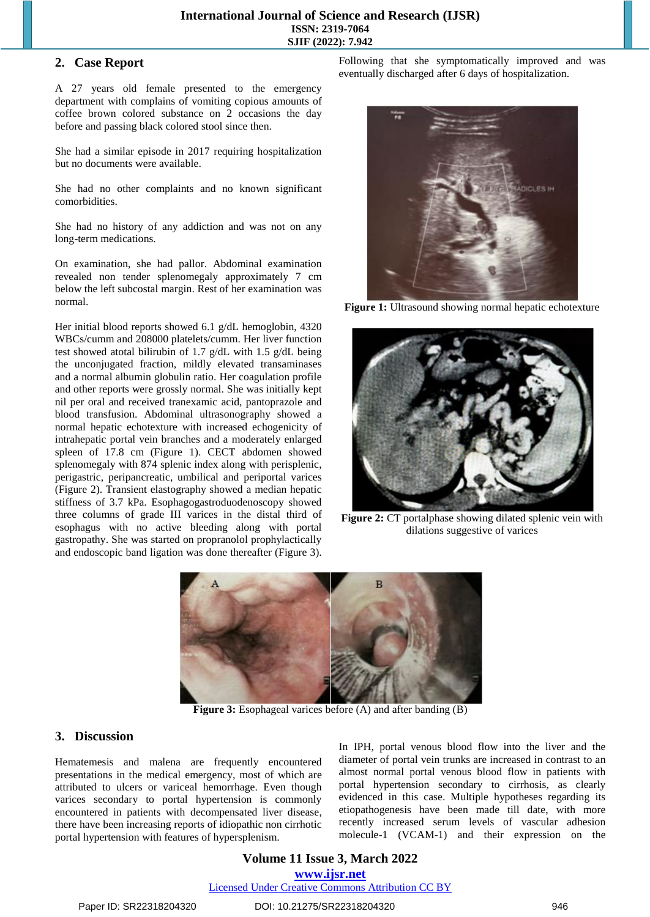## **2. Case Report**

A 27 years old female presented to the emergency department with complains of vomiting copious amounts of coffee brown colored substance on 2 occasions the day before and passing black colored stool since then.

She had a similar episode in 2017 requiring hospitalization but no documents were available.

She had no other complaints and no known significant comorbidities.

She had no history of any addiction and was not on any long-term medications.

On examination, she had pallor. Abdominal examination revealed non tender splenomegaly approximately 7 cm below the left subcostal margin. Rest of her examination was normal.

Her initial blood reports showed 6.1 g/dL hemoglobin, 4320 WBCs/cumm and 208000 platelets/cumm. Her liver function test showed atotal bilirubin of 1.7 g/dL with 1.5 g/dL being the unconjugated fraction, mildly elevated transaminases and a normal albumin globulin ratio. Her coagulation profile and other reports were grossly normal. She was initially kept nil per oral and received tranexamic acid, pantoprazole and blood transfusion. Abdominal ultrasonography showed a normal hepatic echotexture with increased echogenicity of intrahepatic portal vein branches and a moderately enlarged spleen of 17.8 cm (Figure 1). CECT abdomen showed splenomegaly with 874 splenic index along with perisplenic, perigastric, peripancreatic, umbilical and periportal varices (Figure 2). Transient elastography showed a median hepatic stiffness of 3.7 kPa. Esophagogastroduodenoscopy showed three columns of grade III varices in the distal third of esophagus with no active bleeding along with portal gastropathy. She was started on propranolol prophylactically and endoscopic band ligation was done thereafter (Figure 3).

Following that she symptomatically improved and was eventually discharged after 6 days of hospitalization.



**Figure 1:** Ultrasound showing normal hepatic echotexture



**Figure 2:** CT portalphase showing dilated splenic vein with dilations suggestive of varices



**Figure 3:** Esophageal varices before (A) and after banding (B)

### **3. Discussion**

Hematemesis and malena are frequently encountered presentations in the medical emergency, most of which are attributed to ulcers or variceal hemorrhage. Even though varices secondary to portal hypertension is commonly encountered in patients with decompensated liver disease, there have been increasing reports of idiopathic non cirrhotic portal hypertension with features of hypersplenism.

In IPH, portal venous blood flow into the liver and the diameter of portal vein trunks are increased in contrast to an almost normal portal venous blood flow in patients with portal hypertension secondary to cirrhosis, as clearly evidenced in this case. Multiple hypotheses regarding its etiopathogenesis have been made till date, with more recently increased serum levels of vascular adhesion molecule-1 (VCAM-1) and their expression on the

# **Volume 11 Issue 3, March 2022 www.ijsr.net**

Licensed Under Creative Commons Attribution CC BY

Paper ID: SR22318204320 DOI: 10.21275/SR22318204320 946